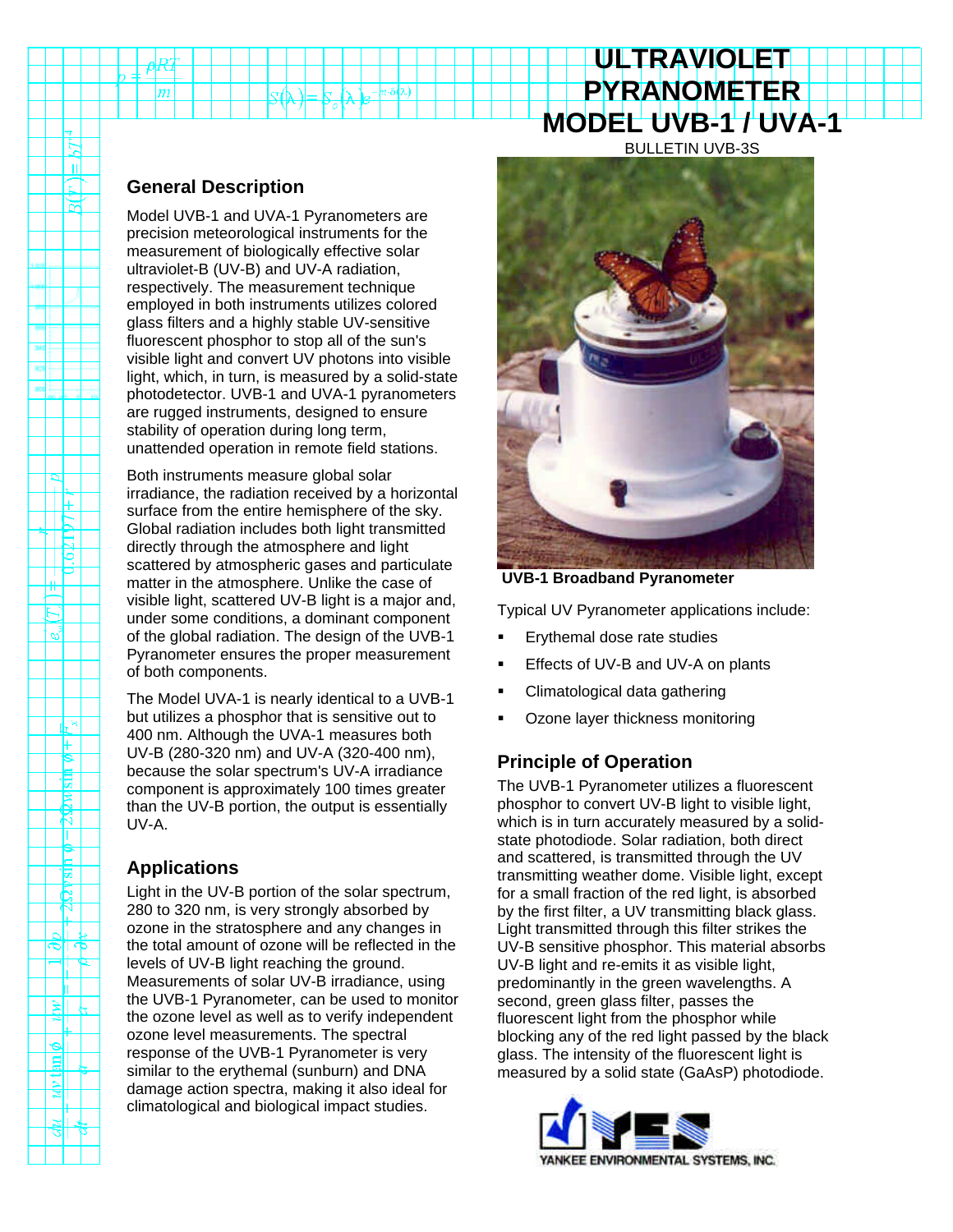# **PYRANOMETER MODEL UVB-1 / UVA-1** BULLETIN UVB-3S

**ULTRAVIOLET**

### **General Description**

Ŀ,  $\mathbf{u}$  $\Box$ ੇੜ

 $\mathbb{E}$  $5021$ 

> $\mathbb{R}^n$ F  $\frac{1}{\sin \phi}$  $\overline{\mathbb{z}}$ र्ष T  $\frac{1}{\sin \phi}$

 $-287$ 

الألم নাক

<u>∄≲ </u> ᆌ  $\frac{1}{\frac{1}{2}}$ झा ∄ा মা الح  $\frac{d}{d}$ 

Model UVB-1 and UVA-1 Pyranometers are precision meteorological instruments for the measurement of biologically effective solar ultraviolet-B (UV-B) and UV-A radiation, respectively. The measurement technique employed in both instruments utilizes colored glass filters and a highly stable UV-sensitive fluorescent phosphor to stop all of the sun's visible light and convert UV photons into visible light, which, in turn, is measured by a solid-state photodetector. UVB-1 and UVA-1 pyranometers are rugged instruments, designed to ensure stability of operation during long term, unattended operation in remote field stations.

Both instruments measure global solar irradiance, the radiation received by a horizontal surface from the entire hemisphere of the sky. Global radiation includes both light transmitted directly through the atmosphere and light scattered by atmospheric gases and particulate matter in the atmosphere. Unlike the case of visible light, scattered UV-B light is a major and, under some conditions, a dominant component of the global radiation. The design of the UVB-1 Pyranometer ensures the proper measurement of both components.

The Model UVA-1 is nearly identical to a UVB-1 but utilizes a phosphor that is sensitive out to 400 nm. Although the UVA-1 measures both UV-B (280-320 nm) and UV-A (320-400 nm), because the solar spectrum's UV-A irradiance component is approximately 100 times greater than the UV-B portion, the output is essentially UV-A.

# **Applications**

Light in the UV-B portion of the solar spectrum, 280 to 320 nm, is very strongly absorbed by ozone in the stratosphere and any changes in the total amount of ozone will be reflected in the levels of UV-B light reaching the ground. Measurements of solar UV-B irradiance, using the UVB-1 Pyranometer, can be used to monitor the ozone level as well as to verify independent ozone level measurements. The spectral response of the UVB-1 Pyranometer is very similar to the erythemal (sunburn) and DNA damage action spectra, making it also ideal for climatological and biological impact studies.



 **UVB-1 Broadband Pyranometer**

Typical UV Pyranometer applications include:

- ß Erythemal dose rate studies
- ß Effects of UV-B and UV-A on plants
- ß Climatological data gathering
- ß Ozone layer thickness monitoring

# **Principle of Operation**

The UVB-1 Pyranometer utilizes a fluorescent phosphor to convert UV-B light to visible light, which is in turn accurately measured by a solidstate photodiode. Solar radiation, both direct and scattered, is transmitted through the UV transmitting weather dome. Visible light, except for a small fraction of the red light, is absorbed by the first filter, a UV transmitting black glass. Light transmitted through this filter strikes the UV-B sensitive phosphor. This material absorbs UV-B light and re-emits it as visible light, predominantly in the green wavelengths. A second, green glass filter, passes the fluorescent light from the phosphor while blocking any of the red light passed by the black glass. The intensity of the fluorescent light is measured by a solid state (GaAsP) photodiode.

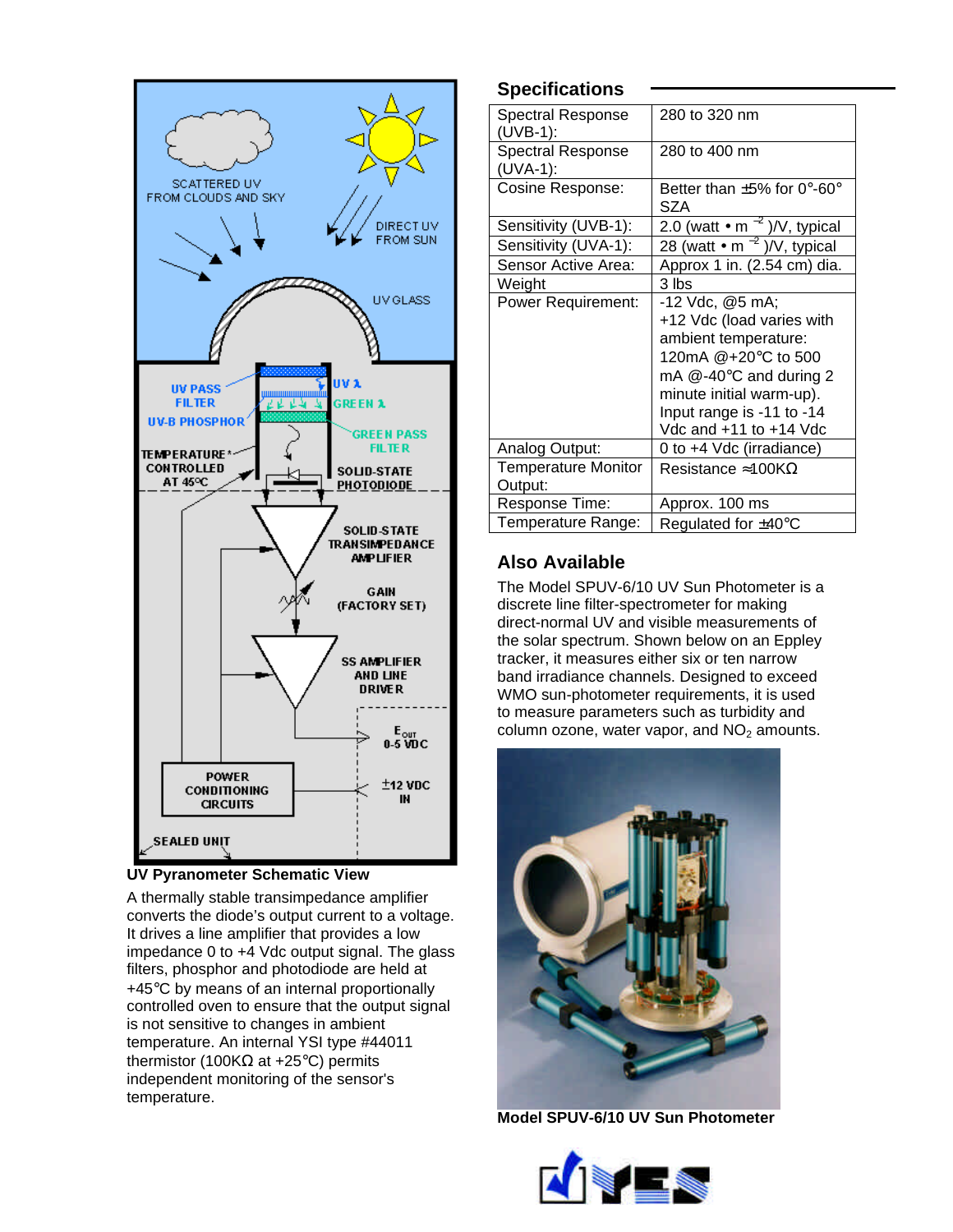

#### **UV Pyranometer Schematic View**

A thermally stable transimpedance amplifier converts the diode's output current to a voltage. It drives a line amplifier that provides a low impedance 0 to +4 Vdc output signal. The glass filters, phosphor and photodiode are held at +45°C by means of an internal proportionally controlled oven to ensure that the output signal is not sensitive to changes in ambient temperature. An internal YSI type #44011 thermistor (100KΩ at +25 $^{\circ}$ C) permits independent monitoring of the sensor's temperature.

#### **Specifications**

| Spectral Response<br>$(UVB-1):$         | 280 to 320 nm                           |
|-----------------------------------------|-----------------------------------------|
| <b>Spectral Response</b><br>$(UVA-1)$ : | 280 to 400 nm                           |
| Cosine Response:                        | Better than $\pm 5\%$ for 0°-60°<br>SZA |
| Sensitivity (UVB-1):                    | 2.0 (watt • m $^{-2}$ )/V, typical      |
| Sensitivity (UVA-1):                    | 28 (watt • $m^{-2}$ )/V, typical        |
| Sensor Active Area:                     | Approx 1 in. (2.54 cm) dia.             |
| Weight                                  | 3 lbs                                   |
| <b>Power Requirement:</b>               | -12 Vdc, @5 mA;                         |
|                                         | +12 Vdc (load varies with               |
|                                         | ambient temperature:                    |
|                                         | 120mA @+20°C to 500                     |
|                                         | mA $@-40$ °C and during 2               |
|                                         | minute initial warm-up).                |
|                                         | Input range is -11 to -14               |
|                                         | Vdc and +11 to +14 Vdc                  |
| Analog Output:                          | 0 to +4 Vdc (irradiance)                |
| <b>Temperature Monitor</b><br>Output:   | Resistance $\approx$ 100K $\Omega$      |
| Response Time:                          | Approx. 100 ms                          |
| Temperature Range:                      | Regulated for $\pm 40^{\circ}$ C        |

# **Also Available**

The Model SPUV-6/10 UV Sun Photometer is a discrete line filter-spectrometer for making direct-normal UV and visible measurements of the solar spectrum. Shown below on an Eppley tracker, it measures either six or ten narrow band irradiance channels. Designed to exceed WMO sun-photometer requirements, it is used to measure parameters such as turbidity and column ozone, water vapor, and  $NO<sub>2</sub>$  amounts.



**Model SPUV-6/10 UV Sun Photometer**

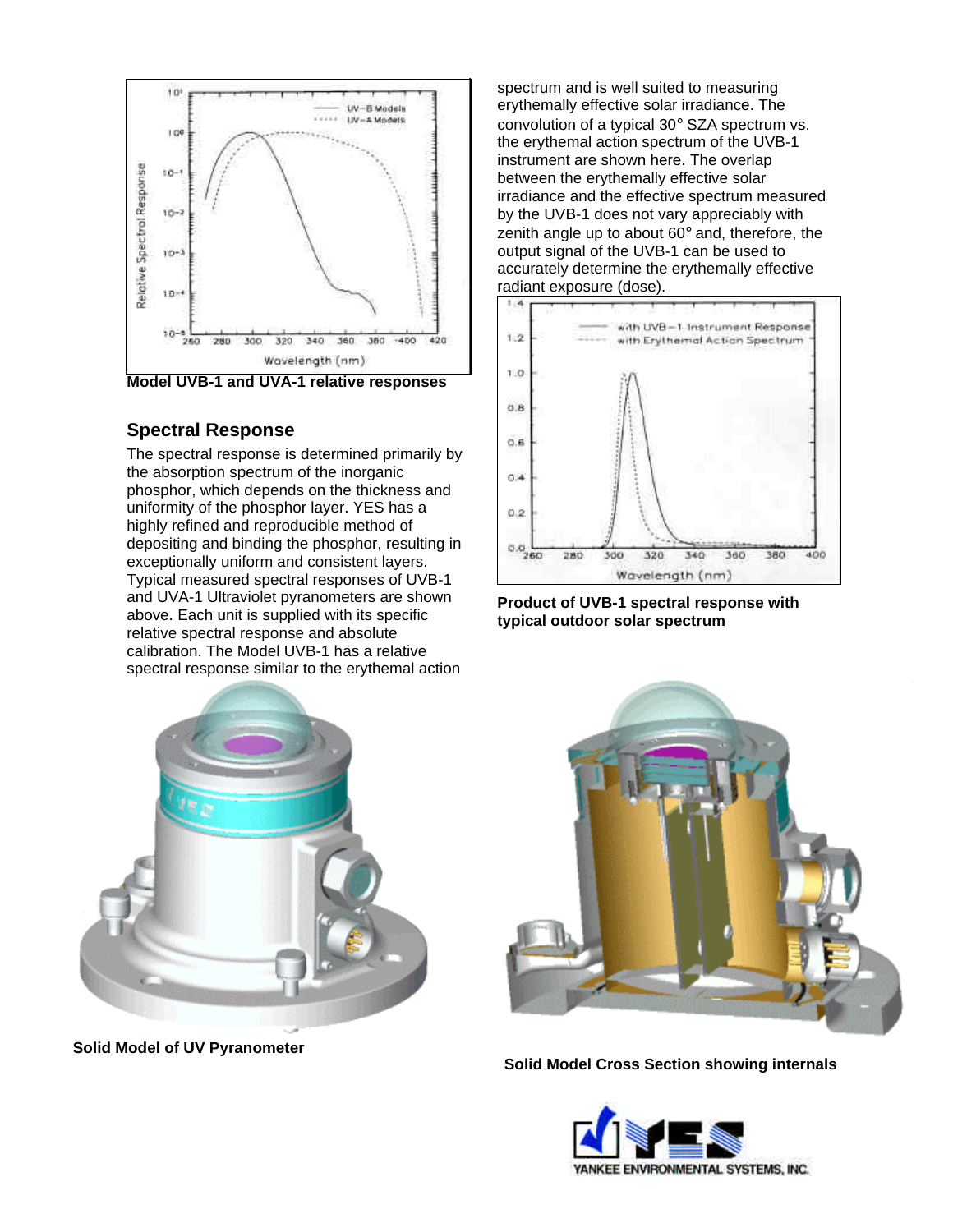

**Model UVB-1 and UVA-1 relative responses**

#### **Spectral Response**

The spectral response is determined primarily by the absorption spectrum of the inorganic phosphor, which depends on the thickness and uniformity of the phosphor layer. YES has a highly refined and reproducible method of depositing and binding the phosphor, resulting in exceptionally uniform and consistent layers. Typical measured spectral responses of UVB-1 and UVA-1 Ultraviolet pyranometers are shown above. Each unit is supplied with its specific relative spectral response and absolute calibration. The Model UVB-1 has a relative spectral response similar to the erythemal action

spectrum and is well suited to measuring erythemally effective solar irradiance. The convolution of a typical 30° SZA spectrum vs. the erythemal action spectrum of the UVB-1 instrument are shown here. The overlap between the erythemally effective solar irradiance and the effective spectrum measured by the UVB-1 does not vary appreciably with zenith angle up to about 60° and, therefore, the output signal of the UVB-1 can be used to accurately determine the erythemally effective radiant exposure (dose).



**Product of UVB-1 spectral response with typical outdoor solar spectrum**







**Solid Model Cross Section showing internals**